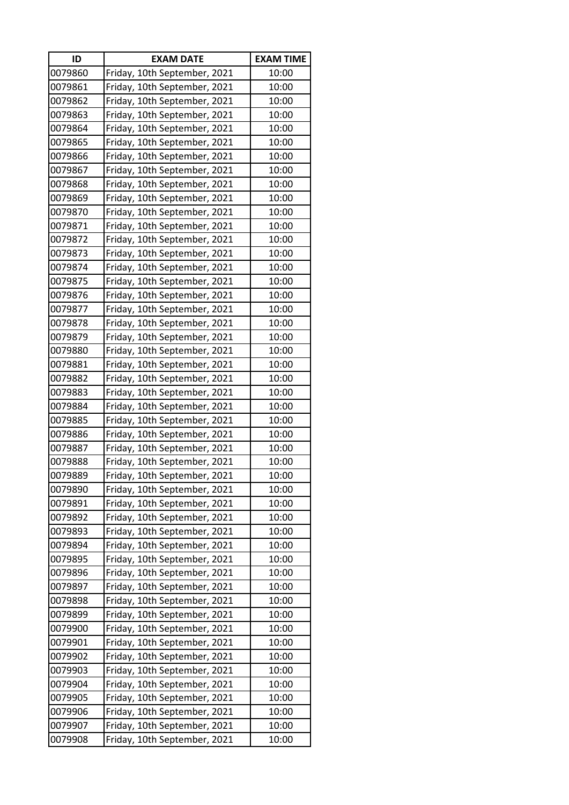| ID      | <b>EXAM DATE</b>             | <b>EXAM TIME</b> |
|---------|------------------------------|------------------|
| 0079860 | Friday, 10th September, 2021 | 10:00            |
| 0079861 | Friday, 10th September, 2021 | 10:00            |
| 0079862 | Friday, 10th September, 2021 | 10:00            |
| 0079863 | Friday, 10th September, 2021 | 10:00            |
| 0079864 | Friday, 10th September, 2021 | 10:00            |
| 0079865 | Friday, 10th September, 2021 | 10:00            |
| 0079866 | Friday, 10th September, 2021 | 10:00            |
| 0079867 | Friday, 10th September, 2021 | 10:00            |
| 0079868 | Friday, 10th September, 2021 | 10:00            |
| 0079869 | Friday, 10th September, 2021 | 10:00            |
| 0079870 | Friday, 10th September, 2021 | 10:00            |
| 0079871 | Friday, 10th September, 2021 | 10:00            |
| 0079872 | Friday, 10th September, 2021 | 10:00            |
| 0079873 | Friday, 10th September, 2021 | 10:00            |
| 0079874 | Friday, 10th September, 2021 | 10:00            |
| 0079875 | Friday, 10th September, 2021 | 10:00            |
| 0079876 | Friday, 10th September, 2021 | 10:00            |
| 0079877 | Friday, 10th September, 2021 | 10:00            |
| 0079878 | Friday, 10th September, 2021 | 10:00            |
| 0079879 | Friday, 10th September, 2021 | 10:00            |
| 0079880 | Friday, 10th September, 2021 | 10:00            |
| 0079881 | Friday, 10th September, 2021 | 10:00            |
| 0079882 | Friday, 10th September, 2021 | 10:00            |
| 0079883 | Friday, 10th September, 2021 | 10:00            |
| 0079884 | Friday, 10th September, 2021 | 10:00            |
| 0079885 | Friday, 10th September, 2021 | 10:00            |
| 0079886 | Friday, 10th September, 2021 | 10:00            |
| 0079887 | Friday, 10th September, 2021 | 10:00            |
| 0079888 | Friday, 10th September, 2021 | 10:00            |
| 0079889 | Friday, 10th September, 2021 | 10:00            |
| 0079890 | Friday, 10th September, 2021 | 10:00            |
| 0079891 | Friday, 10th September, 2021 | 10:00            |
| 0079892 | Friday, 10th September, 2021 | 10:00            |
| 0079893 | Friday, 10th September, 2021 | 10:00            |
| 0079894 | Friday, 10th September, 2021 | 10:00            |
| 0079895 | Friday, 10th September, 2021 | 10:00            |
| 0079896 | Friday, 10th September, 2021 | 10:00            |
| 0079897 | Friday, 10th September, 2021 | 10:00            |
| 0079898 | Friday, 10th September, 2021 | 10:00            |
| 0079899 | Friday, 10th September, 2021 | 10:00            |
| 0079900 | Friday, 10th September, 2021 | 10:00            |
| 0079901 | Friday, 10th September, 2021 | 10:00            |
| 0079902 | Friday, 10th September, 2021 | 10:00            |
| 0079903 | Friday, 10th September, 2021 | 10:00            |
| 0079904 | Friday, 10th September, 2021 | 10:00            |
| 0079905 | Friday, 10th September, 2021 | 10:00            |
| 0079906 | Friday, 10th September, 2021 | 10:00            |
| 0079907 | Friday, 10th September, 2021 | 10:00            |
| 0079908 | Friday, 10th September, 2021 | 10:00            |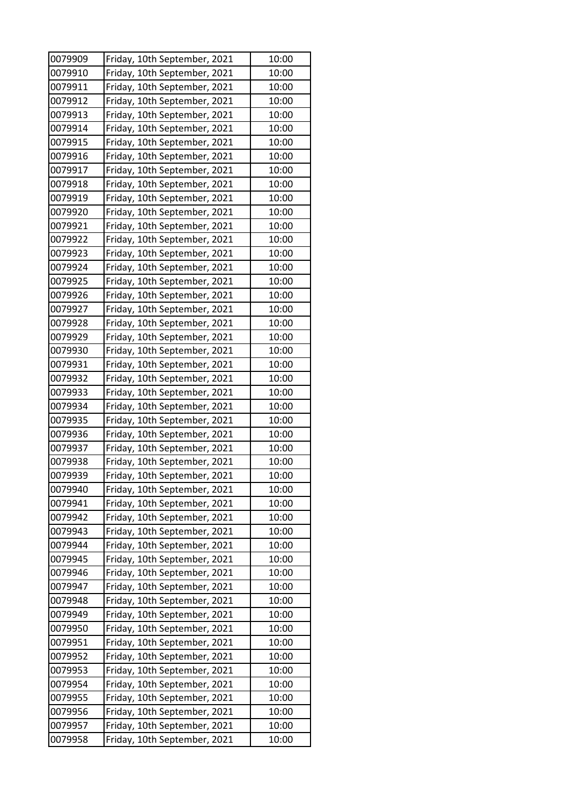| 0079909 | Friday, 10th September, 2021 | 10:00 |
|---------|------------------------------|-------|
| 0079910 | Friday, 10th September, 2021 | 10:00 |
| 0079911 | Friday, 10th September, 2021 | 10:00 |
| 0079912 | Friday, 10th September, 2021 | 10:00 |
| 0079913 | Friday, 10th September, 2021 | 10:00 |
| 0079914 | Friday, 10th September, 2021 | 10:00 |
| 0079915 | Friday, 10th September, 2021 | 10:00 |
| 0079916 | Friday, 10th September, 2021 | 10:00 |
| 0079917 | Friday, 10th September, 2021 | 10:00 |
| 0079918 | Friday, 10th September, 2021 | 10:00 |
| 0079919 | Friday, 10th September, 2021 | 10:00 |
| 0079920 | Friday, 10th September, 2021 | 10:00 |
| 0079921 | Friday, 10th September, 2021 | 10:00 |
| 0079922 | Friday, 10th September, 2021 | 10:00 |
| 0079923 | Friday, 10th September, 2021 | 10:00 |
| 0079924 | Friday, 10th September, 2021 | 10:00 |
| 0079925 | Friday, 10th September, 2021 | 10:00 |
| 0079926 | Friday, 10th September, 2021 | 10:00 |
| 0079927 | Friday, 10th September, 2021 | 10:00 |
| 0079928 | Friday, 10th September, 2021 | 10:00 |
| 0079929 | Friday, 10th September, 2021 | 10:00 |
| 0079930 | Friday, 10th September, 2021 | 10:00 |
| 0079931 | Friday, 10th September, 2021 | 10:00 |
| 0079932 | Friday, 10th September, 2021 | 10:00 |
| 0079933 | Friday, 10th September, 2021 | 10:00 |
| 0079934 | Friday, 10th September, 2021 | 10:00 |
| 0079935 | Friday, 10th September, 2021 | 10:00 |
| 0079936 | Friday, 10th September, 2021 | 10:00 |
| 0079937 | Friday, 10th September, 2021 | 10:00 |
| 0079938 | Friday, 10th September, 2021 | 10:00 |
| 0079939 | Friday, 10th September, 2021 | 10:00 |
| 0079940 | Friday, 10th September, 2021 | 10:00 |
| 0079941 | Friday, 10th September, 2021 | 10:00 |
| 0079942 | Friday, 10th September, 2021 | 10:00 |
| 0079943 | Friday, 10th September, 2021 | 10:00 |
| 0079944 | Friday, 10th September, 2021 | 10:00 |
| 0079945 | Friday, 10th September, 2021 | 10:00 |
| 0079946 | Friday, 10th September, 2021 | 10:00 |
| 0079947 | Friday, 10th September, 2021 | 10:00 |
| 0079948 | Friday, 10th September, 2021 | 10:00 |
| 0079949 | Friday, 10th September, 2021 | 10:00 |
| 0079950 | Friday, 10th September, 2021 | 10:00 |
| 0079951 | Friday, 10th September, 2021 | 10:00 |
| 0079952 | Friday, 10th September, 2021 | 10:00 |
| 0079953 | Friday, 10th September, 2021 | 10:00 |
| 0079954 | Friday, 10th September, 2021 | 10:00 |
| 0079955 | Friday, 10th September, 2021 | 10:00 |
| 0079956 | Friday, 10th September, 2021 | 10:00 |
| 0079957 | Friday, 10th September, 2021 | 10:00 |
| 0079958 | Friday, 10th September, 2021 | 10:00 |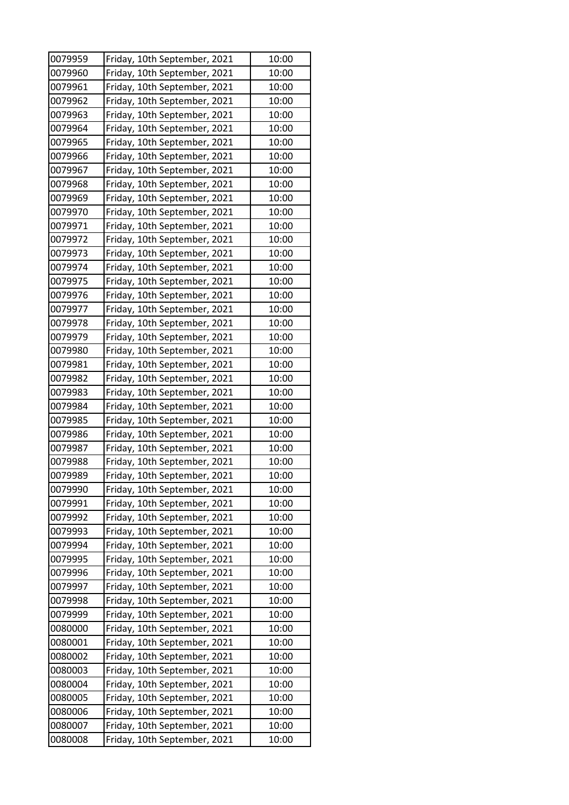| 0079959 | Friday, 10th September, 2021 | 10:00 |
|---------|------------------------------|-------|
| 0079960 | Friday, 10th September, 2021 | 10:00 |
| 0079961 | Friday, 10th September, 2021 | 10:00 |
| 0079962 | Friday, 10th September, 2021 | 10:00 |
| 0079963 | Friday, 10th September, 2021 | 10:00 |
| 0079964 | Friday, 10th September, 2021 | 10:00 |
| 0079965 | Friday, 10th September, 2021 | 10:00 |
| 0079966 | Friday, 10th September, 2021 | 10:00 |
| 0079967 | Friday, 10th September, 2021 | 10:00 |
| 0079968 | Friday, 10th September, 2021 | 10:00 |
| 0079969 | Friday, 10th September, 2021 | 10:00 |
| 0079970 | Friday, 10th September, 2021 | 10:00 |
| 0079971 | Friday, 10th September, 2021 | 10:00 |
| 0079972 | Friday, 10th September, 2021 | 10:00 |
| 0079973 | Friday, 10th September, 2021 | 10:00 |
| 0079974 | Friday, 10th September, 2021 | 10:00 |
| 0079975 | Friday, 10th September, 2021 | 10:00 |
| 0079976 | Friday, 10th September, 2021 | 10:00 |
| 0079977 | Friday, 10th September, 2021 | 10:00 |
| 0079978 | Friday, 10th September, 2021 | 10:00 |
| 0079979 | Friday, 10th September, 2021 | 10:00 |
| 0079980 | Friday, 10th September, 2021 | 10:00 |
| 0079981 | Friday, 10th September, 2021 | 10:00 |
| 0079982 | Friday, 10th September, 2021 | 10:00 |
| 0079983 | Friday, 10th September, 2021 | 10:00 |
| 0079984 | Friday, 10th September, 2021 | 10:00 |
| 0079985 | Friday, 10th September, 2021 | 10:00 |
| 0079986 | Friday, 10th September, 2021 | 10:00 |
| 0079987 | Friday, 10th September, 2021 | 10:00 |
| 0079988 | Friday, 10th September, 2021 | 10:00 |
| 0079989 | Friday, 10th September, 2021 | 10:00 |
| 0079990 | Friday, 10th September, 2021 | 10:00 |
| 0079991 | Friday, 10th September, 2021 | 10:00 |
| 0079992 | Friday, 10th September, 2021 | 10:00 |
| 0079993 | Friday, 10th September, 2021 | 10:00 |
| 0079994 | Friday, 10th September, 2021 | 10:00 |
| 0079995 | Friday, 10th September, 2021 | 10:00 |
| 0079996 | Friday, 10th September, 2021 | 10:00 |
| 0079997 | Friday, 10th September, 2021 | 10:00 |
| 0079998 | Friday, 10th September, 2021 | 10:00 |
| 0079999 | Friday, 10th September, 2021 | 10:00 |
| 0080000 | Friday, 10th September, 2021 | 10:00 |
| 0080001 | Friday, 10th September, 2021 | 10:00 |
| 0080002 | Friday, 10th September, 2021 | 10:00 |
| 0080003 | Friday, 10th September, 2021 | 10:00 |
| 0080004 | Friday, 10th September, 2021 | 10:00 |
| 0080005 | Friday, 10th September, 2021 | 10:00 |
| 0080006 | Friday, 10th September, 2021 | 10:00 |
| 0080007 | Friday, 10th September, 2021 | 10:00 |
| 0080008 | Friday, 10th September, 2021 | 10:00 |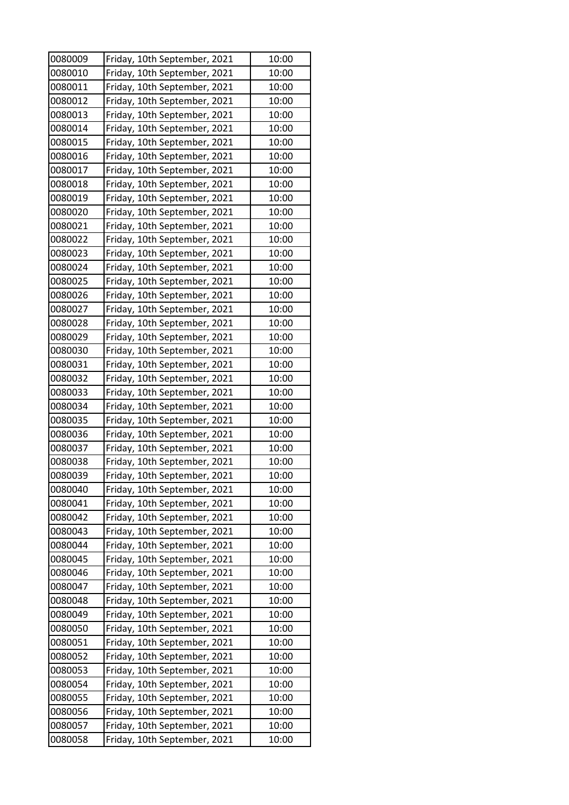| 0080009 | Friday, 10th September, 2021                                 | 10:00 |
|---------|--------------------------------------------------------------|-------|
| 0080010 | Friday, 10th September, 2021                                 | 10:00 |
| 0080011 | Friday, 10th September, 2021                                 | 10:00 |
| 0080012 | Friday, 10th September, 2021                                 | 10:00 |
| 0080013 | Friday, 10th September, 2021                                 | 10:00 |
| 0080014 | Friday, 10th September, 2021                                 | 10:00 |
| 0080015 | Friday, 10th September, 2021                                 | 10:00 |
| 0080016 | Friday, 10th September, 2021                                 | 10:00 |
| 0080017 | Friday, 10th September, 2021                                 | 10:00 |
| 0080018 | Friday, 10th September, 2021                                 | 10:00 |
| 0080019 | Friday, 10th September, 2021                                 | 10:00 |
| 0080020 | Friday, 10th September, 2021                                 | 10:00 |
| 0080021 | Friday, 10th September, 2021                                 | 10:00 |
| 0080022 | Friday, 10th September, 2021                                 | 10:00 |
| 0080023 | Friday, 10th September, 2021                                 | 10:00 |
| 0080024 | Friday, 10th September, 2021                                 | 10:00 |
| 0080025 | Friday, 10th September, 2021                                 | 10:00 |
| 0080026 | Friday, 10th September, 2021                                 | 10:00 |
| 0080027 | Friday, 10th September, 2021                                 | 10:00 |
| 0080028 | Friday, 10th September, 2021                                 | 10:00 |
| 0080029 | Friday, 10th September, 2021                                 | 10:00 |
| 0080030 | Friday, 10th September, 2021                                 | 10:00 |
| 0080031 | Friday, 10th September, 2021                                 | 10:00 |
| 0080032 | Friday, 10th September, 2021                                 | 10:00 |
| 0080033 | Friday, 10th September, 2021                                 | 10:00 |
| 0080034 | Friday, 10th September, 2021                                 | 10:00 |
| 0080035 | Friday, 10th September, 2021                                 | 10:00 |
| 0080036 | Friday, 10th September, 2021                                 | 10:00 |
| 0080037 | Friday, 10th September, 2021                                 | 10:00 |
| 0080038 | Friday, 10th September, 2021                                 | 10:00 |
| 0080039 | Friday, 10th September, 2021                                 | 10:00 |
| 0080040 | Friday, 10th September, 2021                                 | 10:00 |
| 0080041 | Friday, 10th September, 2021                                 | 10:00 |
| 0080042 | Friday, 10th September, 2021                                 | 10:00 |
| 0080043 | Friday, 10th September, 2021                                 | 10:00 |
| 0080044 | Friday, 10th September, 2021                                 | 10:00 |
| 0080045 | Friday, 10th September, 2021                                 | 10:00 |
| 0080046 | Friday, 10th September, 2021                                 | 10:00 |
| 0080047 |                                                              | 10:00 |
| 0080048 | Friday, 10th September, 2021<br>Friday, 10th September, 2021 | 10:00 |
| 0080049 |                                                              | 10:00 |
| 0080050 | Friday, 10th September, 2021                                 | 10:00 |
|         | Friday, 10th September, 2021                                 |       |
| 0080051 | Friday, 10th September, 2021                                 | 10:00 |
| 0080052 | Friday, 10th September, 2021                                 | 10:00 |
| 0080053 | Friday, 10th September, 2021                                 | 10:00 |
| 0080054 | Friday, 10th September, 2021                                 | 10:00 |
| 0080055 | Friday, 10th September, 2021                                 | 10:00 |
| 0080056 | Friday, 10th September, 2021                                 | 10:00 |
| 0080057 | Friday, 10th September, 2021                                 | 10:00 |
| 0080058 | Friday, 10th September, 2021                                 | 10:00 |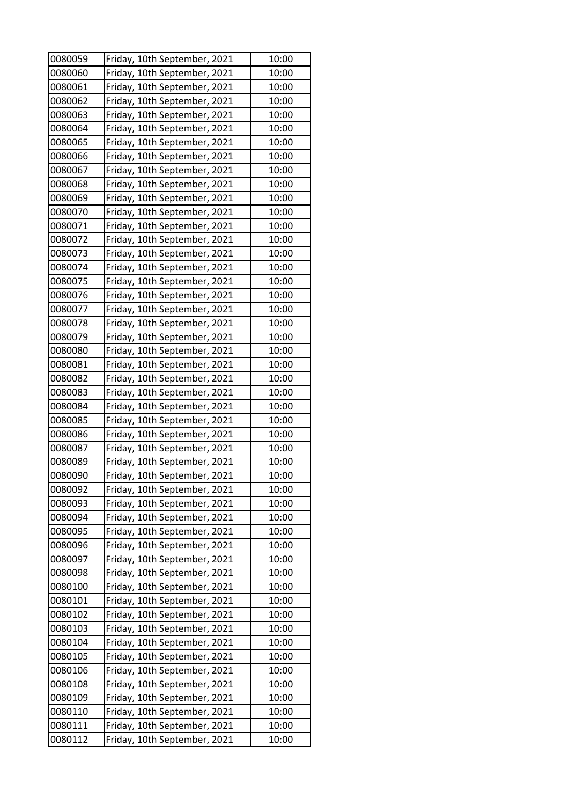| 0080059 | Friday, 10th September, 2021 | 10:00 |
|---------|------------------------------|-------|
| 0080060 | Friday, 10th September, 2021 | 10:00 |
| 0080061 | Friday, 10th September, 2021 | 10:00 |
| 0080062 | Friday, 10th September, 2021 | 10:00 |
| 0080063 | Friday, 10th September, 2021 | 10:00 |
| 0080064 | Friday, 10th September, 2021 | 10:00 |
| 0080065 | Friday, 10th September, 2021 | 10:00 |
| 0080066 | Friday, 10th September, 2021 | 10:00 |
| 0080067 | Friday, 10th September, 2021 | 10:00 |
| 0080068 | Friday, 10th September, 2021 | 10:00 |
| 0080069 | Friday, 10th September, 2021 | 10:00 |
| 0080070 | Friday, 10th September, 2021 | 10:00 |
| 0080071 | Friday, 10th September, 2021 | 10:00 |
| 0080072 | Friday, 10th September, 2021 | 10:00 |
| 0080073 | Friday, 10th September, 2021 | 10:00 |
| 0080074 | Friday, 10th September, 2021 | 10:00 |
| 0080075 | Friday, 10th September, 2021 | 10:00 |
| 0080076 | Friday, 10th September, 2021 | 10:00 |
| 0080077 | Friday, 10th September, 2021 | 10:00 |
| 0080078 | Friday, 10th September, 2021 | 10:00 |
| 0080079 | Friday, 10th September, 2021 | 10:00 |
| 0080080 | Friday, 10th September, 2021 | 10:00 |
| 0080081 | Friday, 10th September, 2021 | 10:00 |
| 0080082 | Friday, 10th September, 2021 | 10:00 |
| 0080083 | Friday, 10th September, 2021 | 10:00 |
| 0080084 | Friday, 10th September, 2021 | 10:00 |
| 0080085 | Friday, 10th September, 2021 | 10:00 |
| 0080086 | Friday, 10th September, 2021 | 10:00 |
| 0080087 | Friday, 10th September, 2021 | 10:00 |
| 0080089 | Friday, 10th September, 2021 | 10:00 |
| 0080090 | Friday, 10th September, 2021 | 10:00 |
| 0080092 | Friday, 10th September, 2021 | 10:00 |
| 0080093 | Friday, 10th September, 2021 | 10:00 |
| 0080094 | Friday, 10th September, 2021 | 10:00 |
| 0080095 | Friday, 10th September, 2021 | 10:00 |
| 0080096 | Friday, 10th September, 2021 | 10:00 |
| 0080097 | Friday, 10th September, 2021 | 10:00 |
| 0080098 | Friday, 10th September, 2021 | 10:00 |
| 0080100 | Friday, 10th September, 2021 | 10:00 |
| 0080101 | Friday, 10th September, 2021 | 10:00 |
| 0080102 | Friday, 10th September, 2021 | 10:00 |
| 0080103 | Friday, 10th September, 2021 | 10:00 |
| 0080104 | Friday, 10th September, 2021 | 10:00 |
| 0080105 | Friday, 10th September, 2021 | 10:00 |
| 0080106 | Friday, 10th September, 2021 | 10:00 |
| 0080108 | Friday, 10th September, 2021 | 10:00 |
| 0080109 | Friday, 10th September, 2021 | 10:00 |
| 0080110 | Friday, 10th September, 2021 | 10:00 |
| 0080111 | Friday, 10th September, 2021 | 10:00 |
| 0080112 | Friday, 10th September, 2021 | 10:00 |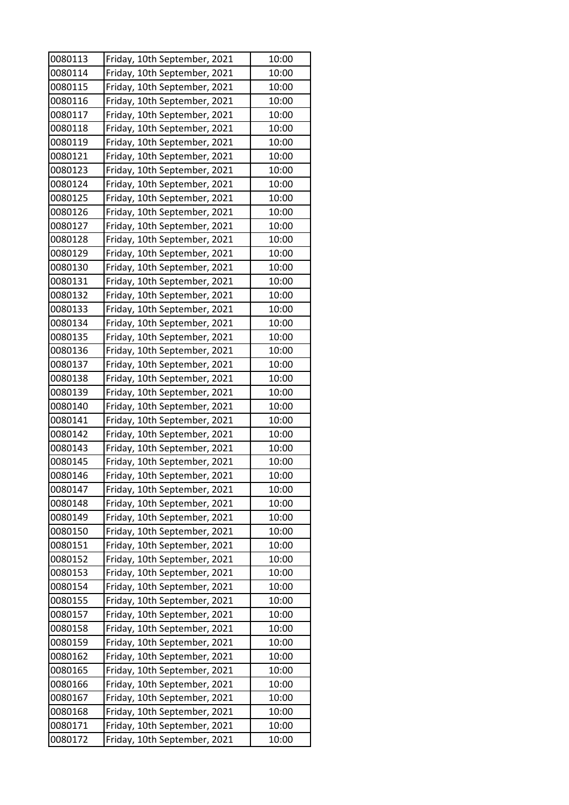| 0080113 | Friday, 10th September, 2021 | 10:00 |
|---------|------------------------------|-------|
| 0080114 | Friday, 10th September, 2021 | 10:00 |
| 0080115 | Friday, 10th September, 2021 | 10:00 |
| 0080116 | Friday, 10th September, 2021 | 10:00 |
| 0080117 | Friday, 10th September, 2021 | 10:00 |
| 0080118 | Friday, 10th September, 2021 | 10:00 |
| 0080119 | Friday, 10th September, 2021 | 10:00 |
| 0080121 | Friday, 10th September, 2021 | 10:00 |
| 0080123 | Friday, 10th September, 2021 | 10:00 |
| 0080124 | Friday, 10th September, 2021 | 10:00 |
| 0080125 | Friday, 10th September, 2021 | 10:00 |
| 0080126 | Friday, 10th September, 2021 | 10:00 |
| 0080127 | Friday, 10th September, 2021 | 10:00 |
| 0080128 | Friday, 10th September, 2021 | 10:00 |
| 0080129 | Friday, 10th September, 2021 | 10:00 |
| 0080130 | Friday, 10th September, 2021 | 10:00 |
| 0080131 | Friday, 10th September, 2021 | 10:00 |
| 0080132 | Friday, 10th September, 2021 | 10:00 |
| 0080133 | Friday, 10th September, 2021 | 10:00 |
| 0080134 | Friday, 10th September, 2021 | 10:00 |
| 0080135 | Friday, 10th September, 2021 | 10:00 |
| 0080136 | Friday, 10th September, 2021 | 10:00 |
| 0080137 | Friday, 10th September, 2021 | 10:00 |
| 0080138 | Friday, 10th September, 2021 | 10:00 |
| 0080139 | Friday, 10th September, 2021 | 10:00 |
| 0080140 | Friday, 10th September, 2021 | 10:00 |
| 0080141 | Friday, 10th September, 2021 | 10:00 |
| 0080142 | Friday, 10th September, 2021 | 10:00 |
| 0080143 | Friday, 10th September, 2021 | 10:00 |
| 0080145 | Friday, 10th September, 2021 | 10:00 |
| 0080146 | Friday, 10th September, 2021 | 10:00 |
| 0080147 | Friday, 10th September, 2021 | 10:00 |
| 0080148 | Friday, 10th September, 2021 | 10:00 |
| 0080149 | Friday, 10th September, 2021 | 10:00 |
| 0080150 | Friday, 10th September, 2021 | 10:00 |
| 0080151 | Friday, 10th September, 2021 | 10:00 |
| 0080152 | Friday, 10th September, 2021 | 10:00 |
| 0080153 | Friday, 10th September, 2021 | 10:00 |
| 0080154 | Friday, 10th September, 2021 | 10:00 |
| 0080155 | Friday, 10th September, 2021 | 10:00 |
| 0080157 | Friday, 10th September, 2021 | 10:00 |
| 0080158 | Friday, 10th September, 2021 | 10:00 |
| 0080159 | Friday, 10th September, 2021 | 10:00 |
| 0080162 | Friday, 10th September, 2021 | 10:00 |
| 0080165 | Friday, 10th September, 2021 | 10:00 |
| 0080166 | Friday, 10th September, 2021 | 10:00 |
| 0080167 | Friday, 10th September, 2021 | 10:00 |
| 0080168 | Friday, 10th September, 2021 | 10:00 |
| 0080171 | Friday, 10th September, 2021 | 10:00 |
| 0080172 | Friday, 10th September, 2021 | 10:00 |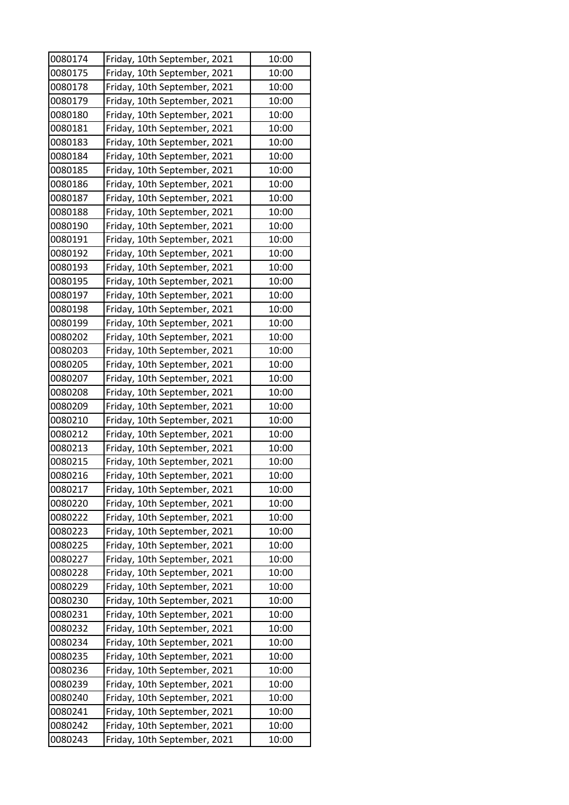| 0080174 | Friday, 10th September, 2021 | 10:00 |
|---------|------------------------------|-------|
| 0080175 | Friday, 10th September, 2021 | 10:00 |
| 0080178 | Friday, 10th September, 2021 | 10:00 |
| 0080179 | Friday, 10th September, 2021 | 10:00 |
| 0080180 | Friday, 10th September, 2021 | 10:00 |
| 0080181 | Friday, 10th September, 2021 | 10:00 |
| 0080183 | Friday, 10th September, 2021 | 10:00 |
| 0080184 | Friday, 10th September, 2021 | 10:00 |
| 0080185 | Friday, 10th September, 2021 | 10:00 |
| 0080186 | Friday, 10th September, 2021 | 10:00 |
| 0080187 | Friday, 10th September, 2021 | 10:00 |
| 0080188 | Friday, 10th September, 2021 | 10:00 |
| 0080190 | Friday, 10th September, 2021 | 10:00 |
| 0080191 | Friday, 10th September, 2021 | 10:00 |
| 0080192 | Friday, 10th September, 2021 | 10:00 |
| 0080193 | Friday, 10th September, 2021 | 10:00 |
| 0080195 | Friday, 10th September, 2021 | 10:00 |
| 0080197 | Friday, 10th September, 2021 | 10:00 |
| 0080198 | Friday, 10th September, 2021 | 10:00 |
| 0080199 | Friday, 10th September, 2021 | 10:00 |
| 0080202 | Friday, 10th September, 2021 | 10:00 |
| 0080203 | Friday, 10th September, 2021 | 10:00 |
| 0080205 | Friday, 10th September, 2021 | 10:00 |
| 0080207 | Friday, 10th September, 2021 | 10:00 |
| 0080208 | Friday, 10th September, 2021 | 10:00 |
| 0080209 | Friday, 10th September, 2021 | 10:00 |
| 0080210 | Friday, 10th September, 2021 | 10:00 |
| 0080212 | Friday, 10th September, 2021 | 10:00 |
| 0080213 | Friday, 10th September, 2021 | 10:00 |
| 0080215 | Friday, 10th September, 2021 | 10:00 |
| 0080216 | Friday, 10th September, 2021 | 10:00 |
| 0080217 | Friday, 10th September, 2021 | 10:00 |
| 0080220 | Friday, 10th September, 2021 | 10:00 |
| 0080222 | Friday, 10th September, 2021 | 10:00 |
| 0080223 | Friday, 10th September, 2021 | 10:00 |
| 0080225 | Friday, 10th September, 2021 | 10:00 |
| 0080227 | Friday, 10th September, 2021 | 10:00 |
| 0080228 | Friday, 10th September, 2021 | 10:00 |
| 0080229 | Friday, 10th September, 2021 | 10:00 |
| 0080230 | Friday, 10th September, 2021 | 10:00 |
| 0080231 | Friday, 10th September, 2021 | 10:00 |
| 0080232 | Friday, 10th September, 2021 | 10:00 |
| 0080234 | Friday, 10th September, 2021 | 10:00 |
| 0080235 | Friday, 10th September, 2021 | 10:00 |
| 0080236 | Friday, 10th September, 2021 | 10:00 |
| 0080239 | Friday, 10th September, 2021 | 10:00 |
| 0080240 | Friday, 10th September, 2021 | 10:00 |
| 0080241 | Friday, 10th September, 2021 | 10:00 |
| 0080242 | Friday, 10th September, 2021 | 10:00 |
| 0080243 | Friday, 10th September, 2021 | 10:00 |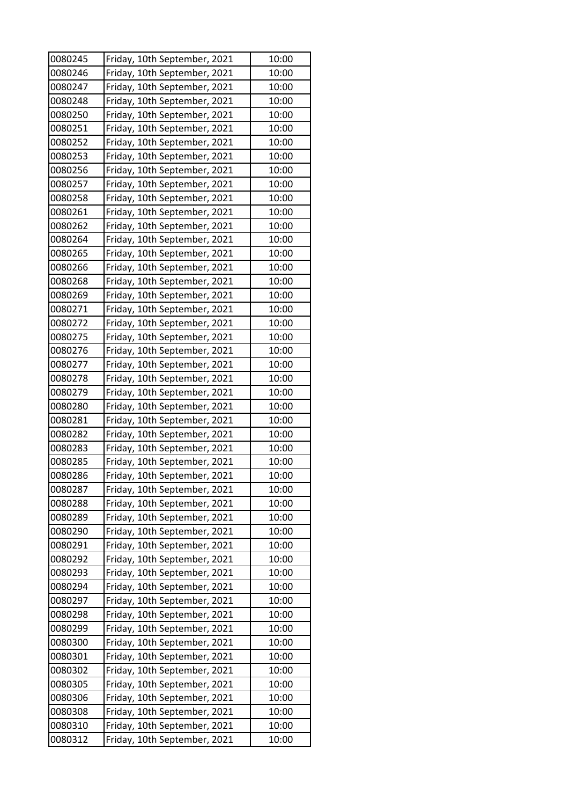| 0080245 | Friday, 10th September, 2021                                 | 10:00 |
|---------|--------------------------------------------------------------|-------|
| 0080246 | Friday, 10th September, 2021                                 | 10:00 |
| 0080247 | Friday, 10th September, 2021                                 | 10:00 |
| 0080248 | Friday, 10th September, 2021                                 | 10:00 |
| 0080250 | Friday, 10th September, 2021                                 | 10:00 |
| 0080251 | Friday, 10th September, 2021                                 | 10:00 |
| 0080252 | Friday, 10th September, 2021                                 | 10:00 |
| 0080253 | Friday, 10th September, 2021                                 | 10:00 |
| 0080256 | Friday, 10th September, 2021                                 | 10:00 |
| 0080257 | Friday, 10th September, 2021                                 | 10:00 |
| 0080258 | Friday, 10th September, 2021                                 | 10:00 |
| 0080261 | Friday, 10th September, 2021                                 | 10:00 |
| 0080262 | Friday, 10th September, 2021                                 | 10:00 |
| 0080264 | Friday, 10th September, 2021                                 | 10:00 |
| 0080265 | Friday, 10th September, 2021                                 | 10:00 |
| 0080266 | Friday, 10th September, 2021                                 | 10:00 |
| 0080268 | Friday, 10th September, 2021                                 | 10:00 |
| 0080269 | Friday, 10th September, 2021                                 | 10:00 |
| 0080271 | Friday, 10th September, 2021                                 | 10:00 |
| 0080272 | Friday, 10th September, 2021                                 | 10:00 |
| 0080275 | Friday, 10th September, 2021                                 | 10:00 |
| 0080276 | Friday, 10th September, 2021                                 | 10:00 |
| 0080277 | Friday, 10th September, 2021                                 | 10:00 |
| 0080278 | Friday, 10th September, 2021                                 | 10:00 |
| 0080279 | Friday, 10th September, 2021                                 | 10:00 |
| 0080280 | Friday, 10th September, 2021                                 | 10:00 |
| 0080281 |                                                              | 10:00 |
| 0080282 | Friday, 10th September, 2021                                 | 10:00 |
| 0080283 | Friday, 10th September, 2021                                 | 10:00 |
| 0080285 | Friday, 10th September, 2021<br>Friday, 10th September, 2021 | 10:00 |
| 0080286 | Friday, 10th September, 2021                                 | 10:00 |
|         |                                                              |       |
| 0080287 | Friday, 10th September, 2021                                 | 10:00 |
| 0080288 | Friday, 10th September, 2021                                 | 10:00 |
| 0080289 | Friday, 10th September, 2021                                 | 10:00 |
| 0080290 | Friday, 10th September, 2021                                 | 10:00 |
| 0080291 | Friday, 10th September, 2021                                 | 10:00 |
| 0080292 | Friday, 10th September, 2021                                 | 10:00 |
| 0080293 | Friday, 10th September, 2021                                 | 10:00 |
| 0080294 | Friday, 10th September, 2021                                 | 10:00 |
| 0080297 | Friday, 10th September, 2021                                 | 10:00 |
| 0080298 | Friday, 10th September, 2021                                 | 10:00 |
| 0080299 | Friday, 10th September, 2021                                 | 10:00 |
| 0080300 | Friday, 10th September, 2021                                 | 10:00 |
| 0080301 | Friday, 10th September, 2021                                 | 10:00 |
| 0080302 | Friday, 10th September, 2021                                 | 10:00 |
| 0080305 | Friday, 10th September, 2021                                 | 10:00 |
| 0080306 | Friday, 10th September, 2021                                 | 10:00 |
| 0080308 | Friday, 10th September, 2021                                 | 10:00 |
| 0080310 | Friday, 10th September, 2021                                 | 10:00 |
| 0080312 | Friday, 10th September, 2021                                 | 10:00 |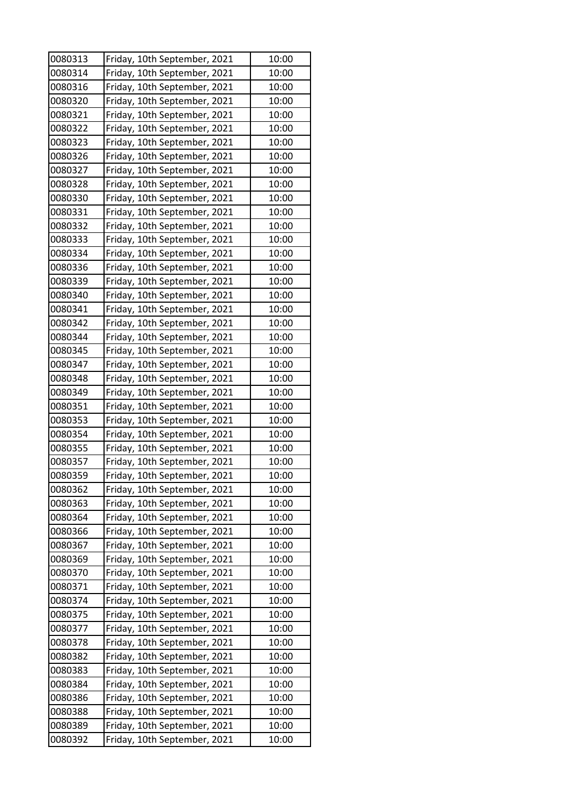| 0080313 | Friday, 10th September, 2021 | 10:00 |
|---------|------------------------------|-------|
| 0080314 | Friday, 10th September, 2021 | 10:00 |
| 0080316 | Friday, 10th September, 2021 | 10:00 |
| 0080320 | Friday, 10th September, 2021 | 10:00 |
| 0080321 | Friday, 10th September, 2021 | 10:00 |
| 0080322 | Friday, 10th September, 2021 | 10:00 |
| 0080323 | Friday, 10th September, 2021 | 10:00 |
| 0080326 | Friday, 10th September, 2021 | 10:00 |
| 0080327 | Friday, 10th September, 2021 | 10:00 |
| 0080328 | Friday, 10th September, 2021 | 10:00 |
| 0080330 | Friday, 10th September, 2021 | 10:00 |
| 0080331 | Friday, 10th September, 2021 | 10:00 |
| 0080332 | Friday, 10th September, 2021 | 10:00 |
| 0080333 | Friday, 10th September, 2021 | 10:00 |
| 0080334 | Friday, 10th September, 2021 | 10:00 |
| 0080336 | Friday, 10th September, 2021 | 10:00 |
| 0080339 | Friday, 10th September, 2021 | 10:00 |
| 0080340 | Friday, 10th September, 2021 | 10:00 |
| 0080341 | Friday, 10th September, 2021 | 10:00 |
| 0080342 | Friday, 10th September, 2021 | 10:00 |
| 0080344 | Friday, 10th September, 2021 | 10:00 |
| 0080345 | Friday, 10th September, 2021 | 10:00 |
| 0080347 | Friday, 10th September, 2021 | 10:00 |
| 0080348 | Friday, 10th September, 2021 | 10:00 |
| 0080349 | Friday, 10th September, 2021 | 10:00 |
| 0080351 | Friday, 10th September, 2021 | 10:00 |
| 0080353 | Friday, 10th September, 2021 | 10:00 |
| 0080354 | Friday, 10th September, 2021 | 10:00 |
| 0080355 | Friday, 10th September, 2021 | 10:00 |
| 0080357 | Friday, 10th September, 2021 | 10:00 |
| 0080359 | Friday, 10th September, 2021 | 10:00 |
| 0080362 | Friday, 10th September, 2021 | 10:00 |
| 0080363 | Friday, 10th September, 2021 | 10:00 |
| 0080364 | Friday, 10th September, 2021 | 10:00 |
| 0080366 | Friday, 10th September, 2021 | 10:00 |
| 0080367 | Friday, 10th September, 2021 | 10:00 |
| 0080369 | Friday, 10th September, 2021 | 10:00 |
| 0080370 | Friday, 10th September, 2021 | 10:00 |
| 0080371 | Friday, 10th September, 2021 | 10:00 |
| 0080374 | Friday, 10th September, 2021 | 10:00 |
| 0080375 | Friday, 10th September, 2021 | 10:00 |
| 0080377 | Friday, 10th September, 2021 | 10:00 |
| 0080378 | Friday, 10th September, 2021 | 10:00 |
| 0080382 | Friday, 10th September, 2021 | 10:00 |
| 0080383 | Friday, 10th September, 2021 | 10:00 |
| 0080384 | Friday, 10th September, 2021 | 10:00 |
| 0080386 | Friday, 10th September, 2021 | 10:00 |
| 0080388 | Friday, 10th September, 2021 | 10:00 |
| 0080389 | Friday, 10th September, 2021 | 10:00 |
| 0080392 | Friday, 10th September, 2021 | 10:00 |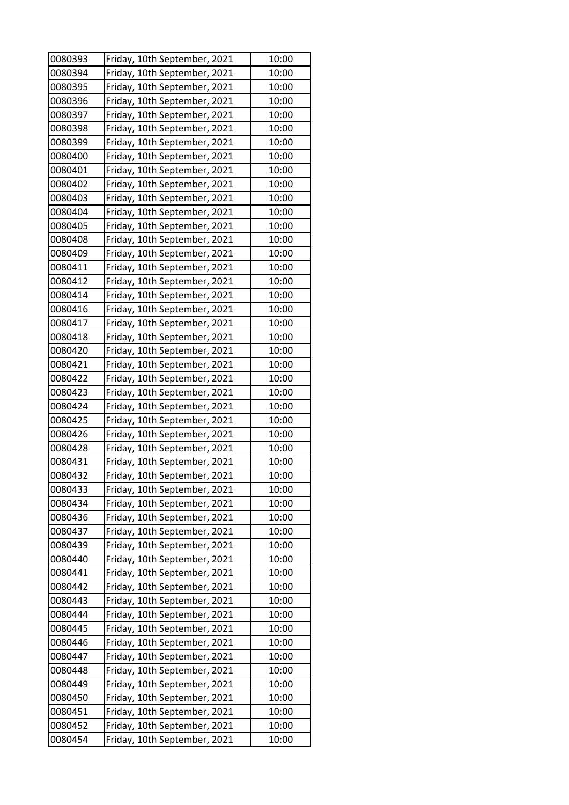| 0080393 | Friday, 10th September, 2021 | 10:00 |
|---------|------------------------------|-------|
| 0080394 | Friday, 10th September, 2021 | 10:00 |
| 0080395 | Friday, 10th September, 2021 | 10:00 |
| 0080396 | Friday, 10th September, 2021 | 10:00 |
| 0080397 | Friday, 10th September, 2021 | 10:00 |
| 0080398 | Friday, 10th September, 2021 | 10:00 |
| 0080399 | Friday, 10th September, 2021 | 10:00 |
| 0080400 | Friday, 10th September, 2021 | 10:00 |
| 0080401 | Friday, 10th September, 2021 | 10:00 |
| 0080402 | Friday, 10th September, 2021 | 10:00 |
| 0080403 | Friday, 10th September, 2021 | 10:00 |
| 0080404 | Friday, 10th September, 2021 | 10:00 |
| 0080405 | Friday, 10th September, 2021 | 10:00 |
| 0080408 | Friday, 10th September, 2021 | 10:00 |
| 0080409 | Friday, 10th September, 2021 | 10:00 |
| 0080411 | Friday, 10th September, 2021 | 10:00 |
| 0080412 | Friday, 10th September, 2021 | 10:00 |
| 0080414 | Friday, 10th September, 2021 | 10:00 |
| 0080416 | Friday, 10th September, 2021 | 10:00 |
| 0080417 | Friday, 10th September, 2021 | 10:00 |
| 0080418 | Friday, 10th September, 2021 | 10:00 |
| 0080420 | Friday, 10th September, 2021 | 10:00 |
| 0080421 | Friday, 10th September, 2021 | 10:00 |
| 0080422 | Friday, 10th September, 2021 | 10:00 |
| 0080423 | Friday, 10th September, 2021 | 10:00 |
| 0080424 | Friday, 10th September, 2021 | 10:00 |
| 0080425 | Friday, 10th September, 2021 | 10:00 |
| 0080426 | Friday, 10th September, 2021 | 10:00 |
| 0080428 | Friday, 10th September, 2021 | 10:00 |
| 0080431 | Friday, 10th September, 2021 | 10:00 |
| 0080432 | Friday, 10th September, 2021 | 10:00 |
| 0080433 | Friday, 10th September, 2021 | 10:00 |
| 0080434 | Friday, 10th September, 2021 | 10:00 |
| 0080436 | Friday, 10th September, 2021 | 10:00 |
| 0080437 | Friday, 10th September, 2021 | 10:00 |
| 0080439 | Friday, 10th September, 2021 | 10:00 |
| 0080440 | Friday, 10th September, 2021 | 10:00 |
| 0080441 | Friday, 10th September, 2021 | 10:00 |
| 0080442 | Friday, 10th September, 2021 | 10:00 |
| 0080443 | Friday, 10th September, 2021 | 10:00 |
| 0080444 | Friday, 10th September, 2021 | 10:00 |
| 0080445 | Friday, 10th September, 2021 | 10:00 |
| 0080446 | Friday, 10th September, 2021 | 10:00 |
| 0080447 | Friday, 10th September, 2021 | 10:00 |
| 0080448 | Friday, 10th September, 2021 | 10:00 |
| 0080449 | Friday, 10th September, 2021 | 10:00 |
| 0080450 | Friday, 10th September, 2021 | 10:00 |
| 0080451 | Friday, 10th September, 2021 | 10:00 |
| 0080452 | Friday, 10th September, 2021 | 10:00 |
| 0080454 | Friday, 10th September, 2021 | 10:00 |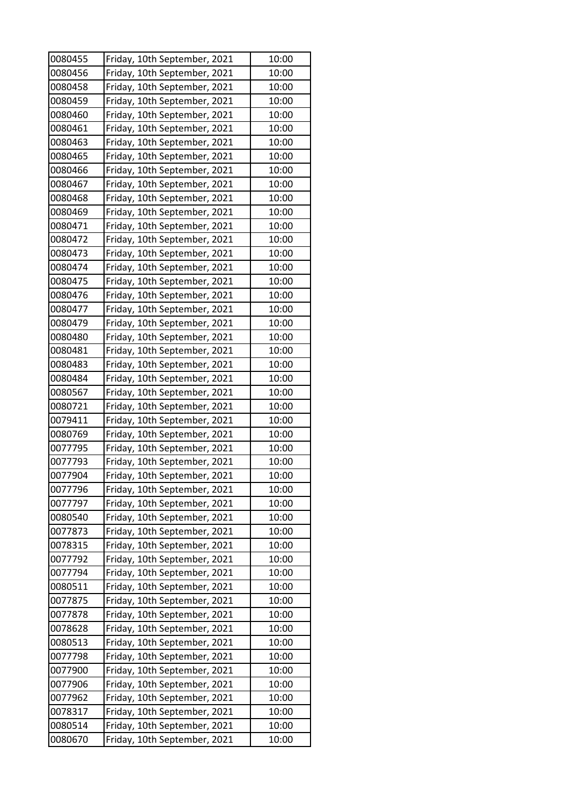| 0080455 | Friday, 10th September, 2021 | 10:00 |
|---------|------------------------------|-------|
| 0080456 | Friday, 10th September, 2021 | 10:00 |
| 0080458 | Friday, 10th September, 2021 | 10:00 |
| 0080459 | Friday, 10th September, 2021 | 10:00 |
| 0080460 | Friday, 10th September, 2021 | 10:00 |
| 0080461 | Friday, 10th September, 2021 | 10:00 |
| 0080463 | Friday, 10th September, 2021 | 10:00 |
| 0080465 | Friday, 10th September, 2021 | 10:00 |
| 0080466 | Friday, 10th September, 2021 | 10:00 |
| 0080467 | Friday, 10th September, 2021 | 10:00 |
| 0080468 | Friday, 10th September, 2021 | 10:00 |
| 0080469 | Friday, 10th September, 2021 | 10:00 |
| 0080471 | Friday, 10th September, 2021 | 10:00 |
| 0080472 | Friday, 10th September, 2021 | 10:00 |
| 0080473 | Friday, 10th September, 2021 | 10:00 |
| 0080474 | Friday, 10th September, 2021 | 10:00 |
| 0080475 | Friday, 10th September, 2021 | 10:00 |
| 0080476 | Friday, 10th September, 2021 | 10:00 |
| 0080477 | Friday, 10th September, 2021 | 10:00 |
| 0080479 | Friday, 10th September, 2021 | 10:00 |
| 0080480 | Friday, 10th September, 2021 | 10:00 |
| 0080481 | Friday, 10th September, 2021 | 10:00 |
| 0080483 | Friday, 10th September, 2021 | 10:00 |
| 0080484 | Friday, 10th September, 2021 | 10:00 |
| 0080567 | Friday, 10th September, 2021 | 10:00 |
| 0080721 | Friday, 10th September, 2021 | 10:00 |
| 0079411 | Friday, 10th September, 2021 | 10:00 |
| 0080769 | Friday, 10th September, 2021 | 10:00 |
| 0077795 | Friday, 10th September, 2021 | 10:00 |
| 0077793 | Friday, 10th September, 2021 | 10:00 |
| 0077904 | Friday, 10th September, 2021 | 10:00 |
| 0077796 | Friday, 10th September, 2021 | 10:00 |
| 0077797 | Friday, 10th September, 2021 | 10:00 |
| 0080540 | Friday, 10th September, 2021 | 10:00 |
| 0077873 | Friday, 10th September, 2021 | 10:00 |
| 0078315 | Friday, 10th September, 2021 | 10:00 |
| 0077792 | Friday, 10th September, 2021 | 10:00 |
| 0077794 | Friday, 10th September, 2021 | 10:00 |
| 0080511 | Friday, 10th September, 2021 | 10:00 |
| 0077875 | Friday, 10th September, 2021 | 10:00 |
| 0077878 | Friday, 10th September, 2021 | 10:00 |
| 0078628 | Friday, 10th September, 2021 | 10:00 |
| 0080513 | Friday, 10th September, 2021 | 10:00 |
| 0077798 | Friday, 10th September, 2021 | 10:00 |
| 0077900 | Friday, 10th September, 2021 | 10:00 |
| 0077906 | Friday, 10th September, 2021 | 10:00 |
| 0077962 | Friday, 10th September, 2021 | 10:00 |
| 0078317 | Friday, 10th September, 2021 | 10:00 |
| 0080514 | Friday, 10th September, 2021 | 10:00 |
| 0080670 | Friday, 10th September, 2021 | 10:00 |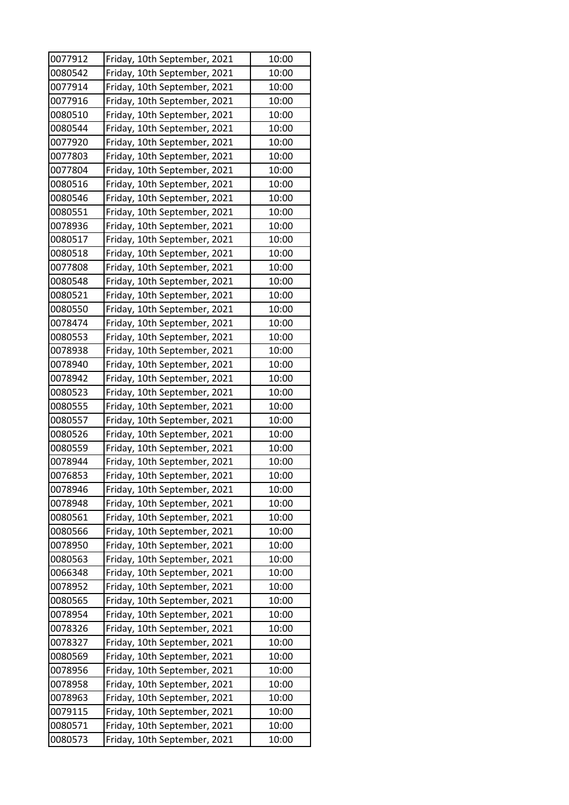| 0077912 | Friday, 10th September, 2021                                 | 10:00 |
|---------|--------------------------------------------------------------|-------|
| 0080542 | Friday, 10th September, 2021                                 | 10:00 |
| 0077914 | Friday, 10th September, 2021                                 | 10:00 |
| 0077916 | Friday, 10th September, 2021                                 | 10:00 |
| 0080510 | Friday, 10th September, 2021                                 | 10:00 |
| 0080544 | Friday, 10th September, 2021                                 | 10:00 |
| 0077920 | Friday, 10th September, 2021                                 | 10:00 |
| 0077803 | Friday, 10th September, 2021                                 | 10:00 |
| 0077804 | Friday, 10th September, 2021                                 | 10:00 |
| 0080516 | Friday, 10th September, 2021                                 | 10:00 |
| 0080546 | Friday, 10th September, 2021                                 | 10:00 |
| 0080551 | Friday, 10th September, 2021                                 | 10:00 |
| 0078936 | Friday, 10th September, 2021                                 | 10:00 |
| 0080517 | Friday, 10th September, 2021                                 | 10:00 |
| 0080518 | Friday, 10th September, 2021                                 | 10:00 |
| 0077808 | Friday, 10th September, 2021                                 | 10:00 |
| 0080548 | Friday, 10th September, 2021                                 | 10:00 |
| 0080521 | Friday, 10th September, 2021                                 | 10:00 |
| 0080550 | Friday, 10th September, 2021                                 | 10:00 |
| 0078474 | Friday, 10th September, 2021                                 | 10:00 |
| 0080553 | Friday, 10th September, 2021                                 | 10:00 |
| 0078938 | Friday, 10th September, 2021                                 | 10:00 |
| 0078940 | Friday, 10th September, 2021                                 | 10:00 |
| 0078942 | Friday, 10th September, 2021                                 | 10:00 |
| 0080523 | Friday, 10th September, 2021                                 | 10:00 |
| 0080555 | Friday, 10th September, 2021                                 | 10:00 |
| 0080557 |                                                              | 10:00 |
| 0080526 | Friday, 10th September, 2021<br>Friday, 10th September, 2021 | 10:00 |
| 0080559 | Friday, 10th September, 2021                                 | 10:00 |
| 0078944 | Friday, 10th September, 2021                                 | 10:00 |
| 0076853 | Friday, 10th September, 2021                                 | 10:00 |
|         |                                                              |       |
| 0078946 | Friday, 10th September, 2021                                 | 10:00 |
| 0078948 | Friday, 10th September, 2021                                 | 10:00 |
| 0080561 | Friday, 10th September, 2021                                 | 10:00 |
| 0080566 | Friday, 10th September, 2021                                 | 10:00 |
| 0078950 | Friday, 10th September, 2021                                 | 10:00 |
| 0080563 | Friday, 10th September, 2021                                 | 10:00 |
| 0066348 | Friday, 10th September, 2021                                 | 10:00 |
| 0078952 | Friday, 10th September, 2021                                 | 10:00 |
| 0080565 | Friday, 10th September, 2021                                 | 10:00 |
| 0078954 | Friday, 10th September, 2021                                 | 10:00 |
| 0078326 | Friday, 10th September, 2021                                 | 10:00 |
| 0078327 | Friday, 10th September, 2021                                 | 10:00 |
| 0080569 | Friday, 10th September, 2021                                 | 10:00 |
| 0078956 | Friday, 10th September, 2021                                 | 10:00 |
| 0078958 | Friday, 10th September, 2021                                 | 10:00 |
| 0078963 | Friday, 10th September, 2021                                 | 10:00 |
| 0079115 | Friday, 10th September, 2021                                 | 10:00 |
| 0080571 | Friday, 10th September, 2021                                 | 10:00 |
| 0080573 | Friday, 10th September, 2021                                 | 10:00 |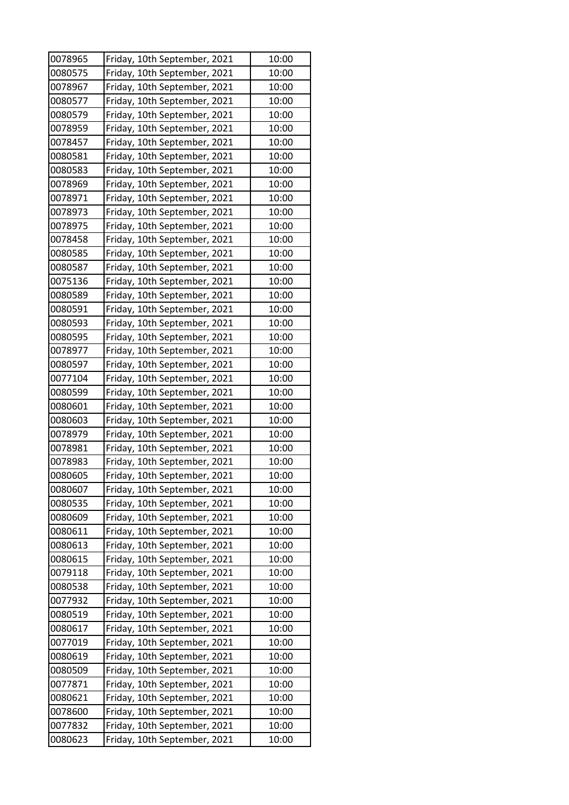| 0078965 | Friday, 10th September, 2021 | 10:00 |
|---------|------------------------------|-------|
| 0080575 | Friday, 10th September, 2021 | 10:00 |
| 0078967 | Friday, 10th September, 2021 | 10:00 |
| 0080577 | Friday, 10th September, 2021 | 10:00 |
| 0080579 | Friday, 10th September, 2021 | 10:00 |
| 0078959 | Friday, 10th September, 2021 | 10:00 |
| 0078457 | Friday, 10th September, 2021 | 10:00 |
| 0080581 | Friday, 10th September, 2021 | 10:00 |
| 0080583 | Friday, 10th September, 2021 | 10:00 |
| 0078969 | Friday, 10th September, 2021 | 10:00 |
| 0078971 | Friday, 10th September, 2021 | 10:00 |
| 0078973 | Friday, 10th September, 2021 | 10:00 |
| 0078975 | Friday, 10th September, 2021 | 10:00 |
| 0078458 | Friday, 10th September, 2021 | 10:00 |
| 0080585 | Friday, 10th September, 2021 | 10:00 |
| 0080587 | Friday, 10th September, 2021 | 10:00 |
| 0075136 | Friday, 10th September, 2021 | 10:00 |
| 0080589 | Friday, 10th September, 2021 | 10:00 |
| 0080591 | Friday, 10th September, 2021 | 10:00 |
| 0080593 | Friday, 10th September, 2021 | 10:00 |
| 0080595 | Friday, 10th September, 2021 | 10:00 |
| 0078977 | Friday, 10th September, 2021 | 10:00 |
| 0080597 | Friday, 10th September, 2021 | 10:00 |
| 0077104 | Friday, 10th September, 2021 | 10:00 |
| 0080599 | Friday, 10th September, 2021 | 10:00 |
| 0080601 | Friday, 10th September, 2021 | 10:00 |
| 0080603 | Friday, 10th September, 2021 | 10:00 |
| 0078979 | Friday, 10th September, 2021 | 10:00 |
| 0078981 | Friday, 10th September, 2021 | 10:00 |
| 0078983 | Friday, 10th September, 2021 | 10:00 |
| 0080605 | Friday, 10th September, 2021 | 10:00 |
| 0080607 | Friday, 10th September, 2021 | 10:00 |
| 0080535 | Friday, 10th September, 2021 | 10:00 |
| 0080609 | Friday, 10th September, 2021 | 10:00 |
| 0080611 | Friday, 10th September, 2021 | 10:00 |
| 0080613 | Friday, 10th September, 2021 | 10:00 |
| 0080615 | Friday, 10th September, 2021 | 10:00 |
| 0079118 | Friday, 10th September, 2021 | 10:00 |
| 0080538 | Friday, 10th September, 2021 | 10:00 |
| 0077932 | Friday, 10th September, 2021 | 10:00 |
| 0080519 | Friday, 10th September, 2021 | 10:00 |
| 0080617 | Friday, 10th September, 2021 | 10:00 |
| 0077019 | Friday, 10th September, 2021 | 10:00 |
| 0080619 | Friday, 10th September, 2021 | 10:00 |
| 0080509 | Friday, 10th September, 2021 | 10:00 |
| 0077871 | Friday, 10th September, 2021 | 10:00 |
| 0080621 | Friday, 10th September, 2021 | 10:00 |
| 0078600 | Friday, 10th September, 2021 | 10:00 |
| 0077832 | Friday, 10th September, 2021 | 10:00 |
| 0080623 | Friday, 10th September, 2021 | 10:00 |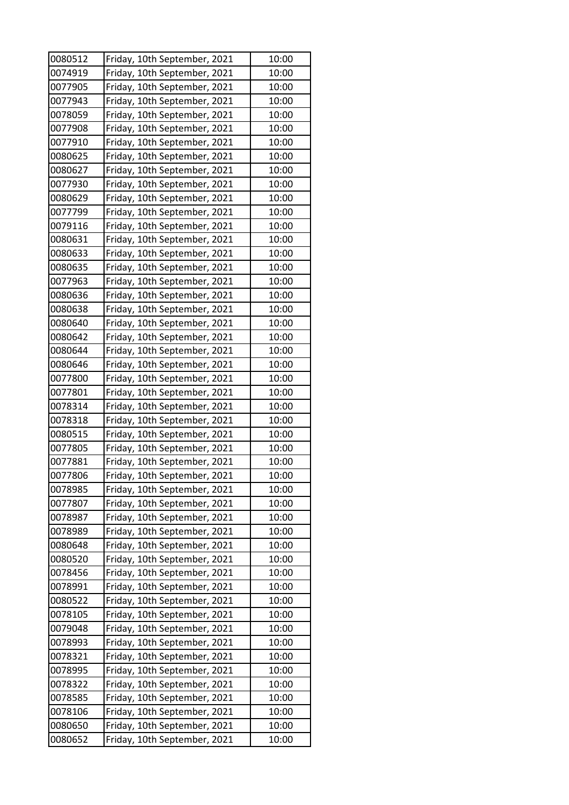| 0080512 | Friday, 10th September, 2021 | 10:00 |
|---------|------------------------------|-------|
| 0074919 | Friday, 10th September, 2021 | 10:00 |
| 0077905 | Friday, 10th September, 2021 | 10:00 |
| 0077943 | Friday, 10th September, 2021 | 10:00 |
| 0078059 | Friday, 10th September, 2021 | 10:00 |
| 0077908 | Friday, 10th September, 2021 | 10:00 |
| 0077910 | Friday, 10th September, 2021 | 10:00 |
| 0080625 | Friday, 10th September, 2021 | 10:00 |
| 0080627 | Friday, 10th September, 2021 | 10:00 |
| 0077930 | Friday, 10th September, 2021 | 10:00 |
| 0080629 | Friday, 10th September, 2021 | 10:00 |
| 0077799 | Friday, 10th September, 2021 | 10:00 |
| 0079116 | Friday, 10th September, 2021 | 10:00 |
| 0080631 | Friday, 10th September, 2021 | 10:00 |
| 0080633 | Friday, 10th September, 2021 | 10:00 |
| 0080635 | Friday, 10th September, 2021 | 10:00 |
| 0077963 | Friday, 10th September, 2021 | 10:00 |
| 0080636 | Friday, 10th September, 2021 | 10:00 |
| 0080638 | Friday, 10th September, 2021 | 10:00 |
| 0080640 | Friday, 10th September, 2021 | 10:00 |
| 0080642 | Friday, 10th September, 2021 | 10:00 |
| 0080644 | Friday, 10th September, 2021 | 10:00 |
| 0080646 | Friday, 10th September, 2021 | 10:00 |
| 0077800 | Friday, 10th September, 2021 | 10:00 |
| 0077801 | Friday, 10th September, 2021 | 10:00 |
| 0078314 | Friday, 10th September, 2021 | 10:00 |
| 0078318 | Friday, 10th September, 2021 | 10:00 |
| 0080515 | Friday, 10th September, 2021 | 10:00 |
| 0077805 | Friday, 10th September, 2021 | 10:00 |
| 0077881 | Friday, 10th September, 2021 | 10:00 |
| 0077806 | Friday, 10th September, 2021 | 10:00 |
| 0078985 | Friday, 10th September, 2021 | 10:00 |
| 0077807 | Friday, 10th September, 2021 | 10:00 |
| 0078987 | Friday, 10th September, 2021 | 10:00 |
| 0078989 | Friday, 10th September, 2021 | 10:00 |
| 0080648 | Friday, 10th September, 2021 | 10:00 |
| 0080520 | Friday, 10th September, 2021 | 10:00 |
| 0078456 | Friday, 10th September, 2021 | 10:00 |
| 0078991 | Friday, 10th September, 2021 | 10:00 |
| 0080522 | Friday, 10th September, 2021 | 10:00 |
| 0078105 | Friday, 10th September, 2021 | 10:00 |
| 0079048 | Friday, 10th September, 2021 | 10:00 |
| 0078993 | Friday, 10th September, 2021 | 10:00 |
| 0078321 | Friday, 10th September, 2021 | 10:00 |
| 0078995 | Friday, 10th September, 2021 | 10:00 |
| 0078322 | Friday, 10th September, 2021 | 10:00 |
| 0078585 | Friday, 10th September, 2021 | 10:00 |
| 0078106 | Friday, 10th September, 2021 | 10:00 |
| 0080650 | Friday, 10th September, 2021 | 10:00 |
| 0080652 | Friday, 10th September, 2021 | 10:00 |